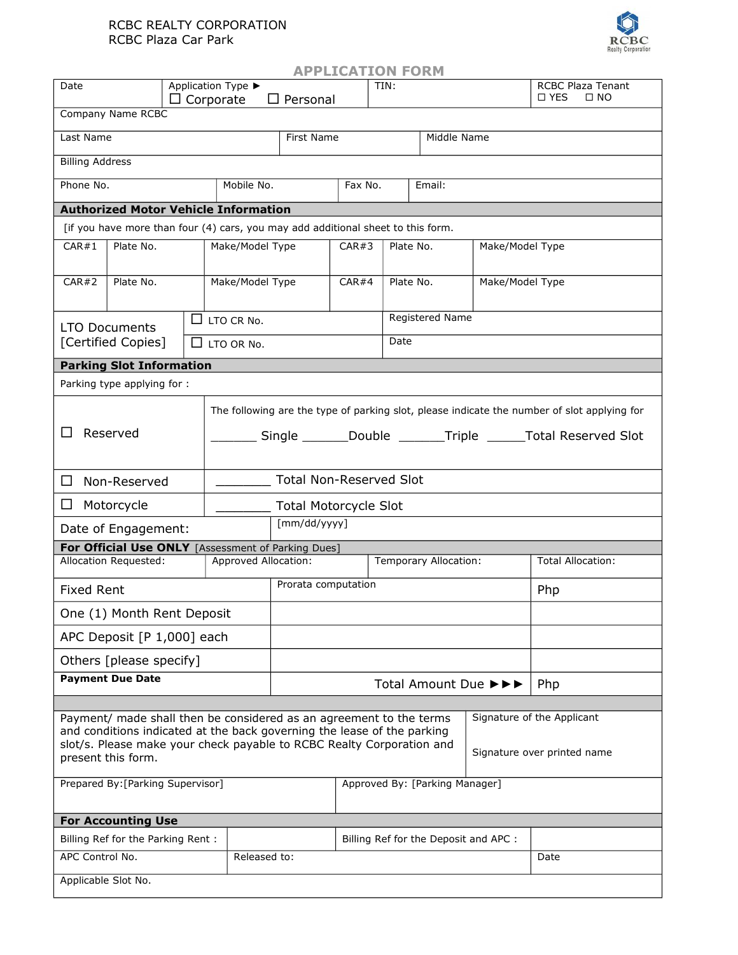## RCBC REALTY CORPORATION RCBC Plaza Car Park



| <b>APPLICATION FORM</b>                                                                                                                                                                                                                                                                                    |                                             |  |                                                           |                              |                                                                                                                                                             |                                       |                       |                              |                                                   |                          |  |  |
|------------------------------------------------------------------------------------------------------------------------------------------------------------------------------------------------------------------------------------------------------------------------------------------------------------|---------------------------------------------|--|-----------------------------------------------------------|------------------------------|-------------------------------------------------------------------------------------------------------------------------------------------------------------|---------------------------------------|-----------------------|------------------------------|---------------------------------------------------|--------------------------|--|--|
| Date                                                                                                                                                                                                                                                                                                       |                                             |  | Application Type ▶<br>$\Box$ Corporate<br>$\Box$ Personal |                              | TIN:                                                                                                                                                        |                                       |                       |                              | <b>RCBC Plaza Tenant</b><br>□ YES<br>$\square$ NO |                          |  |  |
| Company Name RCBC                                                                                                                                                                                                                                                                                          |                                             |  |                                                           |                              |                                                                                                                                                             |                                       |                       |                              |                                                   |                          |  |  |
| Last Name                                                                                                                                                                                                                                                                                                  |                                             |  |                                                           |                              | First Name                                                                                                                                                  |                                       | Middle Name           |                              |                                                   |                          |  |  |
| <b>Billing Address</b>                                                                                                                                                                                                                                                                                     |                                             |  |                                                           |                              |                                                                                                                                                             |                                       |                       |                              |                                                   |                          |  |  |
| Phone No.                                                                                                                                                                                                                                                                                                  |                                             |  | Mobile No.                                                |                              | Fax No.                                                                                                                                                     |                                       | Email:                |                              |                                                   |                          |  |  |
|                                                                                                                                                                                                                                                                                                            | <b>Authorized Motor Vehicle Information</b> |  |                                                           |                              |                                                                                                                                                             |                                       |                       |                              |                                                   |                          |  |  |
|                                                                                                                                                                                                                                                                                                            |                                             |  |                                                           |                              | [if you have more than four (4) cars, you may add additional sheet to this form.                                                                            |                                       |                       |                              |                                                   |                          |  |  |
| CAR#1                                                                                                                                                                                                                                                                                                      | Plate No.                                   |  |                                                           | Make/Model Type              |                                                                                                                                                             | CAR#3                                 |                       | Plate No.<br>Make/Model Type |                                                   |                          |  |  |
| CAR#2                                                                                                                                                                                                                                                                                                      | Plate No.                                   |  |                                                           | Make/Model Type              |                                                                                                                                                             | CAR#4                                 |                       | Plate No.<br>Make/Model Type |                                                   |                          |  |  |
|                                                                                                                                                                                                                                                                                                            | <b>LTO Documents</b>                        |  |                                                           | $\Box$ LTO CR No.            |                                                                                                                                                             |                                       | Registered Name       |                              |                                                   |                          |  |  |
|                                                                                                                                                                                                                                                                                                            | [Certified Copies]                          |  |                                                           | LTO OR No.                   |                                                                                                                                                             |                                       | Date                  |                              |                                                   |                          |  |  |
|                                                                                                                                                                                                                                                                                                            | <b>Parking Slot Information</b>             |  |                                                           |                              |                                                                                                                                                             |                                       |                       |                              |                                                   |                          |  |  |
|                                                                                                                                                                                                                                                                                                            | Parking type applying for :                 |  |                                                           |                              |                                                                                                                                                             |                                       |                       |                              |                                                   |                          |  |  |
| Reserved<br>ΙI                                                                                                                                                                                                                                                                                             |                                             |  |                                                           |                              | The following are the type of parking slot, please indicate the number of slot applying for<br>Single _______Double _______Triple ______Total Reserved Slot |                                       |                       |                              |                                                   |                          |  |  |
| □<br>Non-Reserved                                                                                                                                                                                                                                                                                          |                                             |  |                                                           |                              | <b>Total Non-Reserved Slot</b>                                                                                                                              |                                       |                       |                              |                                                   |                          |  |  |
| $\Box$<br>Motorcycle                                                                                                                                                                                                                                                                                       |                                             |  |                                                           | <b>Total Motorcycle Slot</b> |                                                                                                                                                             |                                       |                       |                              |                                                   |                          |  |  |
|                                                                                                                                                                                                                                                                                                            | Date of Engagement:                         |  |                                                           |                              | [mm/dd/yyyy]                                                                                                                                                |                                       |                       |                              |                                                   |                          |  |  |
|                                                                                                                                                                                                                                                                                                            |                                             |  |                                                           |                              | For Official Use ONLY [Assessment of Parking Dues]                                                                                                          |                                       |                       |                              |                                                   |                          |  |  |
|                                                                                                                                                                                                                                                                                                            | Allocation Requested:                       |  |                                                           | <b>Approved Allocation:</b>  |                                                                                                                                                             |                                       | Temporary Allocation: |                              |                                                   | <b>Total Allocation:</b> |  |  |
| <b>Fixed Rent</b>                                                                                                                                                                                                                                                                                          |                                             |  |                                                           |                              | Prorata computation                                                                                                                                         |                                       |                       |                              | Php                                               |                          |  |  |
| One (1) Month Rent Deposit                                                                                                                                                                                                                                                                                 |                                             |  |                                                           |                              |                                                                                                                                                             |                                       |                       |                              |                                                   |                          |  |  |
| APC Deposit [P 1,000] each                                                                                                                                                                                                                                                                                 |                                             |  |                                                           |                              |                                                                                                                                                             |                                       |                       |                              |                                                   |                          |  |  |
| Others [please specify]                                                                                                                                                                                                                                                                                    |                                             |  |                                                           |                              |                                                                                                                                                             |                                       |                       |                              |                                                   |                          |  |  |
| <b>Payment Due Date</b>                                                                                                                                                                                                                                                                                    |                                             |  |                                                           | Total Amount Due ▶▶▶         |                                                                                                                                                             |                                       |                       |                              | Php                                               |                          |  |  |
| Signature of the Applicant<br>Payment/ made shall then be considered as an agreement to the terms<br>and conditions indicated at the back governing the lease of the parking<br>slot/s. Please make your check payable to RCBC Realty Corporation and<br>Signature over printed name<br>present this form. |                                             |  |                                                           |                              |                                                                                                                                                             |                                       |                       |                              |                                                   |                          |  |  |
| Prepared By: [Parking Supervisor]                                                                                                                                                                                                                                                                          |                                             |  |                                                           |                              | Approved By: [Parking Manager]                                                                                                                              |                                       |                       |                              |                                                   |                          |  |  |
| <b>For Accounting Use</b>                                                                                                                                                                                                                                                                                  |                                             |  |                                                           |                              |                                                                                                                                                             |                                       |                       |                              |                                                   |                          |  |  |
| Billing Ref for the Parking Rent:                                                                                                                                                                                                                                                                          |                                             |  |                                                           |                              |                                                                                                                                                             | Billing Ref for the Deposit and APC : |                       |                              |                                                   |                          |  |  |
| APC Control No.                                                                                                                                                                                                                                                                                            |                                             |  |                                                           | Released to:                 |                                                                                                                                                             |                                       |                       |                              |                                                   | Date                     |  |  |
| Applicable Slot No.                                                                                                                                                                                                                                                                                        |                                             |  |                                                           |                              |                                                                                                                                                             |                                       |                       |                              |                                                   |                          |  |  |